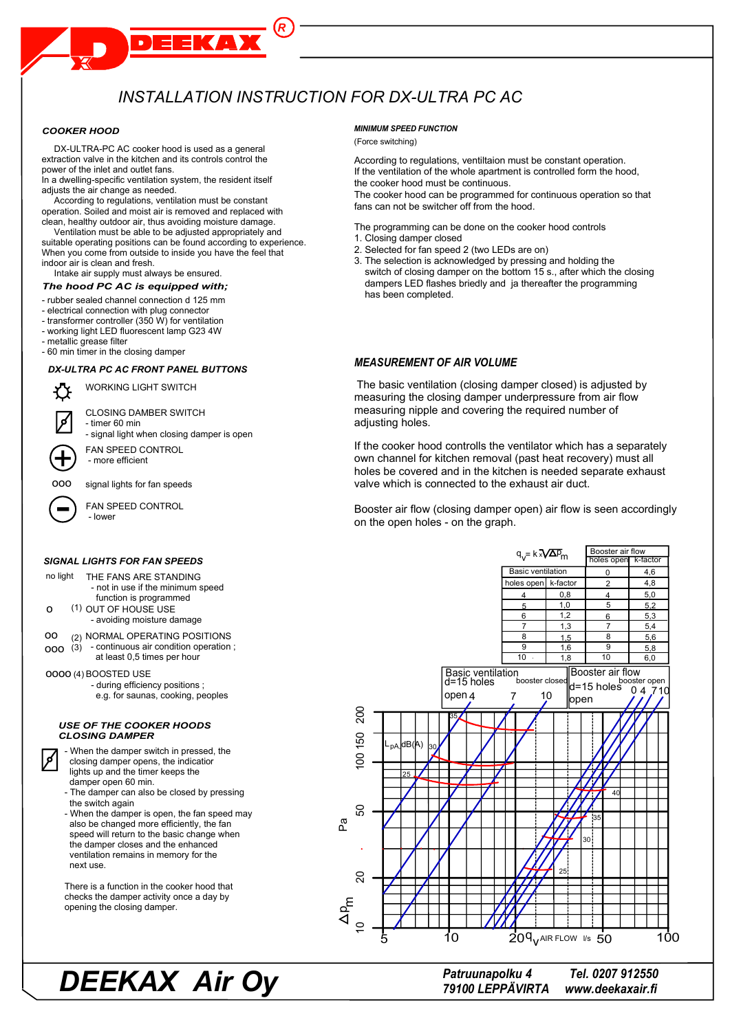# INSTALLATION INSTRUCTION FOR DX-ULTRA PC AC

 $\overline{R}$ 

**KAY** 

# **COOKER HOOD**

DX-ULTRA-PC AC cooker hood is used as a general extraction valve in the kitchen and its controls control the power of the inlet and outlet fans.

In a dwelling-specific ventilation system, the resident itself adjusts the air change as needed.

According to regulations, ventilation must be constant operation. Soiled and moist air is removed and replaced with clean, healthy outdoor air, thus avoiding moisture damage.

Ventilation must be able to be adjusted appropriately and suitable operating positions can be found according to experience. When you come from outside to inside you have the feel that indoor air is clean and fresh.

Intake air supply must always be ensured.

# The hood PC AC is equipped with;

- rubber sealed channel connection d 125 mm
- electrical connection with plug connector
- transformer controller (350 W) for ventilation
- working light LED fluorescent lamp G23 4W
- metallic grease filter
- 60 min timer in the closing damper

# DX-ULTRA PC AC FRONT PANEL BUTTONS

WORKING LIGHT SWITCH

**CLOSING DAMBER SWITCH** 

- timer 60 min signal light when closing damper is open

FAN SPEED CONTROL - more efficient

000 signal lights for fan speeds

FAN SPEED CONTROL

# **SIGNAL LIGHTS FOR FAN SPEEDS**

- no light THE FANS ARE STANDING - not in use if the minimum speed function is programmed
- (1) OUT OF HOUSE USE  $\circ$ - avoiding moisture damage
- <sub>00</sub> (2) NORMAL OPERATING POSITIONS
- $000\left(3\right)$  continuous air condition operation; at least 0.5 times per hour

0000 (4) BOOSTED USE

- during efficiency positions;
- e.g. for saunas, cooking, peoples

#### **USE OF THE COOKER HOODS CLOSING DAMPER**

- When the damper switch in pressed, the closing damper opens, the indicatior lights up and the timer keeps the damper open 60 min.

- The damper can also be closed by pressing the switch again
- When the damper is open, the fan speed may also be changed more efficiently, the fan speed will return to the basic change when the damper closes and the enhanced ventilation remains in memory for the next use.

There is a function in the cooker hood that checks the damper activity once a day by opening the closing damper.

# **MINIMUM SPEED FUNCTION**

# (Force switching)

According to regulations, ventiltaion must be constant operation. If the ventilation of the whole apartment is controlled form the hood, the cooker hood must be continuous.

The cooker hood can be programmed for continuous operation so that fans can not be switcher off from the hood.

The programming can be done on the cooker hood controls

- 1. Closing damper closed
- 2. Selected for fan speed 2 (two LEDs are on)
- 3. The selection is acknowledged by pressing and holding the switch of closing damper on the bottom 15 s., after which the closing dampers LED flashes briedly and ja thereafter the programming has been completed.

# **MEASUREMENT OF AIR VOLUME**

The basic ventilation (closing damper closed) is adjusted by measuring the closing damper underpressure from air flow measuring nipple and covering the required number of adjusting holes.

If the cooker hood controlls the ventilator which has a separately own channel for kitchen removal (past heat recovery) must all holes be covered and in the kitchen is needed separate exhaust valve which is connected to the exhaust air duct.

Booster air flow (closing damper open) air flow is seen accordingly on the open holes - on the graph.



Patruunapolku 4 79100 LEPPÄVIRTA

Tel. 0207 912550 www.deekaxair.fi

# **DEEKAX Air Oy**

- lower